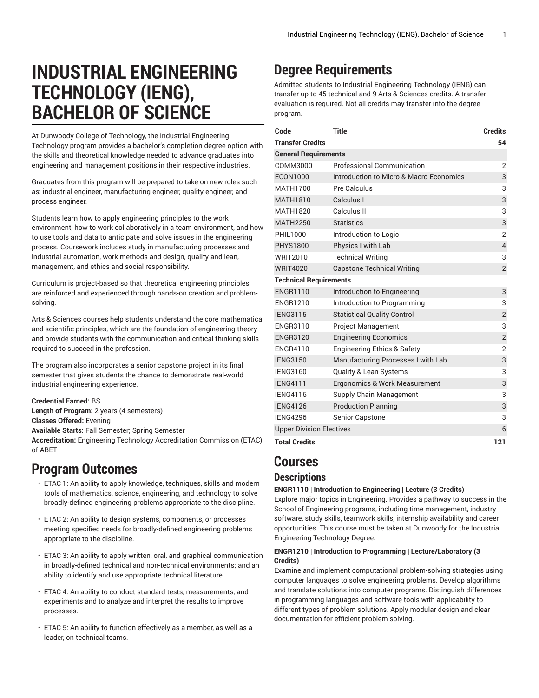# **INDUSTRIAL ENGINEERING TECHNOLOGY (IENG), BACHELOR OF SCIENCE**

At Dunwoody College of Technology, the Industrial Engineering Technology program provides a bachelor's completion degree option with the skills and theoretical knowledge needed to advance graduates into engineering and management positions in their respective industries.

Graduates from this program will be prepared to take on new roles such as: industrial engineer, manufacturing engineer, quality engineer, and process engineer.

Students learn how to apply engineering principles to the work environment, how to work collaboratively in a team environment, and how to use tools and data to anticipate and solve issues in the engineering process. Coursework includes study in manufacturing processes and industrial automation, work methods and design, quality and lean, management, and ethics and social responsibility.

Curriculum is project-based so that theoretical engineering principles are reinforced and experienced through hands-on creation and problemsolving.

Arts & Sciences courses help students understand the core mathematical and scientific principles, which are the foundation of engineering theory and provide students with the communication and critical thinking skills required to succeed in the profession.

The program also incorporates a senior capstone project in its final semester that gives students the chance to demonstrate real-world industrial engineering experience.

#### **Credential Earned:** BS

**Length of Program:** 2 years (4 semesters) **Classes Offered:** Evening

**Available Starts:** Fall Semester; Spring Semester

**Accreditation:** Engineering Technology Accreditation Commission (ETAC) of ABET

## **Program Outcomes**

- ETAC 1: An ability to apply knowledge, techniques, skills and modern tools of mathematics, science, engineering, and technology to solve broadly-defined engineering problems appropriate to the discipline.
- ETAC 2: An ability to design systems, components, or processes meeting specified needs for broadly-defined engineering problems appropriate to the discipline.
- ETAC 3: An ability to apply written, oral, and graphical communication in broadly-defined technical and non-technical environments; and an ability to identify and use appropriate technical literature.
- ETAC 4: An ability to conduct standard tests, measurements, and experiments and to analyze and interpret the results to improve processes.
- ETAC 5: An ability to function effectively as a member, as well as a leader, on technical teams.

## **Degree Requirements**

Admitted students to Industrial Engineering Technology (IENG) can transfer up to 45 technical and 9 Arts & Sciences credits. A transfer evaluation is required. Not all credits may transfer into the degree program.

| Code                            | <b>Title</b>                            | <b>Credits</b> |
|---------------------------------|-----------------------------------------|----------------|
| <b>Transfer Credits</b>         |                                         | 54             |
| <b>General Requirements</b>     |                                         |                |
| COMM3000                        | <b>Professional Communication</b>       | $\overline{2}$ |
| <b>ECON1000</b>                 | Introduction to Micro & Macro Economics | 3              |
| <b>MATH1700</b>                 | Pre Calculus                            | 3              |
| <b>MATH1810</b>                 | Calculus I                              | 3              |
| <b>MATH1820</b>                 | Calculus II                             | 3              |
| <b>MATH2250</b>                 | <b>Statistics</b>                       | 3              |
| PHIL1000                        | Introduction to Logic                   | $\overline{2}$ |
| <b>PHYS1800</b>                 | Physics I with Lab                      | $\overline{4}$ |
| <b>WRIT2010</b>                 | <b>Technical Writing</b>                | 3              |
| <b>WRIT4020</b>                 | <b>Capstone Technical Writing</b>       | $\overline{2}$ |
| <b>Technical Requirements</b>   |                                         |                |
| <b>ENGR1110</b>                 | Introduction to Engineering             | 3              |
| <b>ENGR1210</b>                 | Introduction to Programming             | 3              |
| <b>IENG3115</b>                 | <b>Statistical Quality Control</b>      | $\overline{2}$ |
| <b>ENGR3110</b>                 | <b>Project Management</b>               | 3              |
| <b>ENGR3120</b>                 | <b>Engineering Economics</b>            | $\overline{2}$ |
| <b>FNGR4110</b>                 | <b>Engineering Ethics &amp; Safety</b>  | $\overline{2}$ |
| <b>IENG3150</b>                 | Manufacturing Processes I with Lab      | 3              |
| <b>IENG3160</b>                 | <b>Quality &amp; Lean Systems</b>       | 3              |
| <b>IENG4111</b>                 | Ergonomics & Work Measurement           | 3              |
| <b>IENG4116</b>                 | Supply Chain Management                 | 3              |
| <b>IENG4126</b>                 | <b>Production Planning</b>              | 3              |
| <b>IENG4296</b>                 | <b>Senior Capstone</b>                  | 3              |
| <b>Upper Division Electives</b> |                                         | 6              |
| <b>Total Credits</b>            |                                         | 121            |

## **Courses**

### **Descriptions**

#### **ENGR1110 | Introduction to Engineering | Lecture (3 Credits)**

Explore major topics in Engineering. Provides a pathway to success in the School of Engineering programs, including time management, industry software, study skills, teamwork skills, internship availability and career opportunities. This course must be taken at Dunwoody for the Industrial Engineering Technology Degree.

#### **ENGR1210 | Introduction to Programming | Lecture/Laboratory (3 Credits)**

Examine and implement computational problem-solving strategies using computer languages to solve engineering problems. Develop algorithms and translate solutions into computer programs. Distinguish differences in programming languages and software tools with applicability to different types of problem solutions. Apply modular design and clear documentation for efficient problem solving.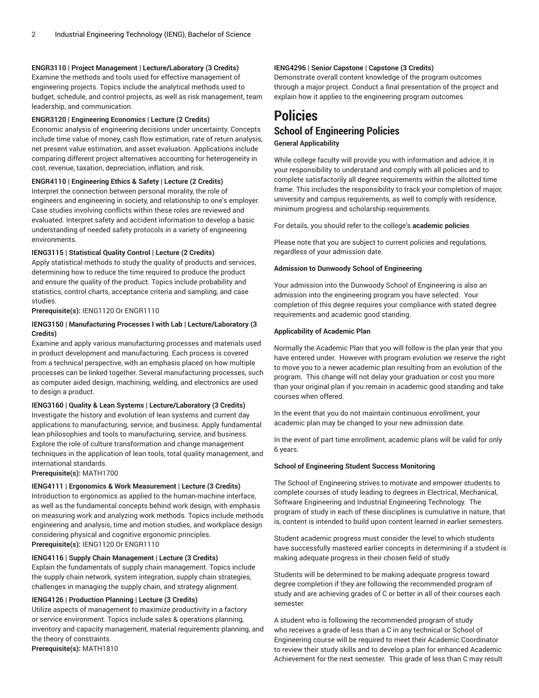#### **ENGR3110 | Project Management | Lecture/Laboratory (3 Credits)**

Examine the methods and tools used for effective management of engineering projects. Topics include the analytical methods used to budget, schedule, and control projects, as well as risk management, team leadership, and communication.

#### **ENGR3120 | Engineering Economics | Lecture (2 Credits)**

Economic analysis of engineering decisions under uncertainty. Concepts include time value of money, cash flow estimation, rate of return analysis, net present value estimation, and asset evaluation. Applications include comparing different project alternatives accounting for heterogeneity in cost, revenue, taxation, depreciation, inflation, and risk.

#### **ENGR4110 | Engineering Ethics & Safety | Lecture (2 Credits)**

Interpret the connection between personal morality, the role of engineers and engineering in society, and relationship to one's employer. Case studies involving conflicts within these roles are reviewed and evaluated. Interpret safety and accident information to develop a basic understanding of needed safety protocols in a variety of engineering environments.

#### **IENG3115 | Statistical Quality Control | Lecture (2 Credits)**

Apply statistical methods to study the quality of products and services, determining how to reduce the time required to produce the product and ensure the quality of the product. Topics include probability and statistics, control charts, acceptance criteria and sampling, and case studies.

#### **Prerequisite(s):** IENG1120 Or ENGR1110

#### **IENG3150 | Manufacturing Processes I with Lab | Lecture/Laboratory (3 Credits)**

Examine and apply various manufacturing processes and materials used in product development and manufacturing. Each process is covered from a technical perspective, with an emphasis placed on how multiple processes can be linked together. Several manufacturing processes, such as computer aided design, machining, welding, and electronics are used to design a product.

#### **IENG3160 | Quality & Lean Systems | Lecture/Laboratory (3 Credits)**

Investigate the history and evolution of lean systems and current day applications to manufacturing, service, and business. Apply fundamental lean philosophies and tools to manufacturing, service, and business. Explore the role of culture transformation and change management techniques in the application of lean tools, total quality management, and international standards.

**Prerequisite(s):** MATH1700

#### **IENG4111 | Ergonomics & Work Measurement | Lecture (3 Credits)**

Introduction to ergonomics as applied to the human-machine interface, as well as the fundamental concepts behind work design, with emphasis on measuring work and analyzing work methods. Topics include methods engineering and analysis, time and motion studies, and workplace design considering physical and cognitive ergonomic principles. **Prerequisite(s):** IENG1120 Or ENGR1110

#### **IENG4116 | Supply Chain Management | Lecture (3 Credits)**

Explain the fundamentals of supply chain management. Topics include the supply chain network, system integration, supply chain strategies, challenges in managing the supply chain, and strategy alignment.

#### **IENG4126 | Production Planning | Lecture (3 Credits)**

Utilize aspects of management to maximize productivity in a factory or service environment. Topics include sales & operations planning, inventory and capacity management, material requirements planning, and the theory of constraints. **Prerequisite(s):** MATH1810

#### **IENG4296 | Senior Capstone | Capstone (3 Credits)**

Demonstrate overall content knowledge of the program outcomes through a major project. Conduct a final presentation of the project and explain how it applies to the engineering program outcomes.

### **Policies School of Engineering Policies General Applicability**

While college faculty will provide you with information and advice, it is your responsibility to understand and comply with all policies and to complete satisfactorily all degree requirements within the allotted time frame. This includes the responsibility to track your completion of major, university and campus requirements, as well to comply with residence, minimum progress and scholarship requirements.

For details, you should refer to the college's **academic policies**.

Please note that you are subject to current policies and regulations, regardless of your admission date.

#### **Admission to Dunwoody School of Engineering**

Your admission into the Dunwoody School of Engineering is also an admission into the engineering program you have selected. Your completion of this degree requires your compliance with stated degree requirements and academic good standing.

#### **Applicability of Academic Plan**

Normally the Academic Plan that you will follow is the plan year that you have entered under. However with program evolution we reserve the right to move you to a newer academic plan resulting from an evolution of the program. This change will not delay your graduation or cost you more than your original plan if you remain in academic good standing and take courses when offered.

In the event that you do not maintain continuous enrollment, your academic plan may be changed to your new admission date.

In the event of part time enrollment, academic plans will be valid for only 6 years.

#### **School of Engineering Student Success Monitoring**

The School of Engineering strives to motivate and empower students to complete courses of study leading to degrees in Electrical, Mechanical, Software Engineering and Industrial Engineering Technology. The program of study in each of these disciplines is cumulative in nature, that is, content is intended to build upon content learned in earlier semesters.

Student academic progress must consider the level to which students have successfully mastered earlier concepts in determining if a student is making adequate progress in their chosen field of study.

Students will be determined to be making adequate progress toward degree completion if they are following the recommended program of study and are achieving grades of C or better in all of their courses each semester.

A student who is following the recommended program of study who receives a grade of less than a C in any technical or School of Engineering course will be required to meet their Academic Coordinator to review their study skills and to develop a plan for enhanced Academic Achievement for the next semester. This grade of less than C may result